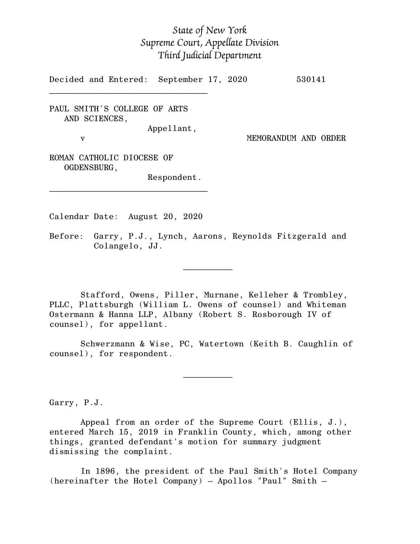## *State of New York Supreme Court, Appellate Division Third Judicial Department*

Decided and Entered: September 17, 2020 530141

PAUL SMITH'S COLLEGE OF ARTS AND SCIENCES, Appellant,

 $\mathcal{L}_\text{max}$ 

v MEMORANDUM AND ORDER

ROMAN CATHOLIC DIOCESE OF OGDENSBURG,

Respondent.

Calendar Date: August 20, 2020

 $\mathcal{L}_\text{max}$  and  $\mathcal{L}_\text{max}$  are the set of  $\mathcal{L}_\text{max}$  . The set of  $\mathcal{L}_\text{max}$ 

 $\mathcal{L}_\text{max}$  and  $\mathcal{L}_\text{max}$  are the set of  $\mathcal{L}_\text{max}$  . The set of  $\mathcal{L}_\text{max}$ 

\_\_\_\_\_\_\_\_\_\_\_\_\_\_\_\_\_\_\_\_\_\_\_\_\_\_\_\_\_\_\_\_

Before: Garry, P.J., Lynch, Aarons, Reynolds Fitzgerald and Colangelo, JJ.

Stafford, Owens, Piller, Murnane, Kelleher & Trombley, PLLC, Plattsburgh (William L. Owens of counsel) and Whiteman Ostermann & Hanna LLP, Albany (Robert S. Rosborough IV of counsel), for appellant.

Schwerzmann & Wise, PC, Watertown (Keith B. Caughlin of counsel), for respondent.

Garry, P.J.

Appeal from an order of the Supreme Court (Ellis, J.), entered March 15, 2019 in Franklin County, which, among other things, granted defendant's motion for summary judgment dismissing the complaint.

In 1896, the president of the Paul Smith's Hotel Company (hereinafter the Hotel Company) – Apollos "Paul" Smith –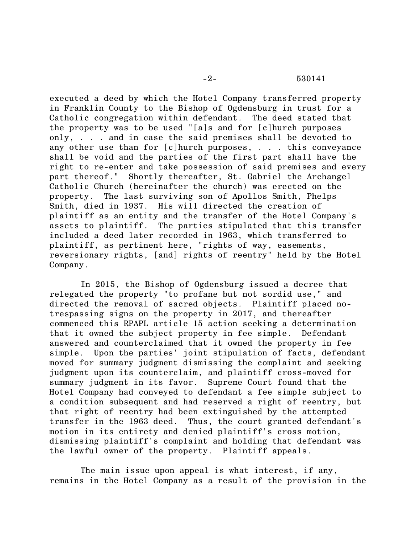executed a deed by which the Hotel Company transferred property in Franklin County to the Bishop of Ogdensburg in trust for a Catholic congregation within defendant. The deed stated that the property was to be used "[a]s and for [c]hurch purposes only, . . . and in case the said premises shall be devoted to any other use than for [c]hurch purposes, . . . this conveyance shall be void and the parties of the first part shall have the right to re-enter and take possession of said premises and every part thereof." Shortly thereafter, St. Gabriel the Archangel Catholic Church (hereinafter the church) was erected on the property. The last surviving son of Apollos Smith, Phelps Smith, died in 1937. His will directed the creation of plaintiff as an entity and the transfer of the Hotel Company's assets to plaintiff. The parties stipulated that this transfer included a deed later recorded in 1963, which transferred to plaintiff, as pertinent here, "rights of way, easements, reversionary rights, [and] rights of reentry" held by the Hotel Company.

In 2015, the Bishop of Ogdensburg issued a decree that relegated the property "to profane but not sordid use," and directed the removal of sacred objects. Plaintiff placed notrespassing signs on the property in 2017, and thereafter commenced this RPAPL article 15 action seeking a determination that it owned the subject property in fee simple. Defendant answered and counterclaimed that it owned the property in fee simple. Upon the parties' joint stipulation of facts, defendant moved for summary judgment dismissing the complaint and seeking judgment upon its counterclaim, and plaintiff cross-moved for summary judgment in its favor. Supreme Court found that the Hotel Company had conveyed to defendant a fee simple subject to a condition subsequent and had reserved a right of reentry, but that right of reentry had been extinguished by the attempted transfer in the 1963 deed. Thus, the court granted defendant's motion in its entirety and denied plaintiff's cross motion, dismissing plaintiff's complaint and holding that defendant was the lawful owner of the property. Plaintiff appeals.

The main issue upon appeal is what interest, if any, remains in the Hotel Company as a result of the provision in the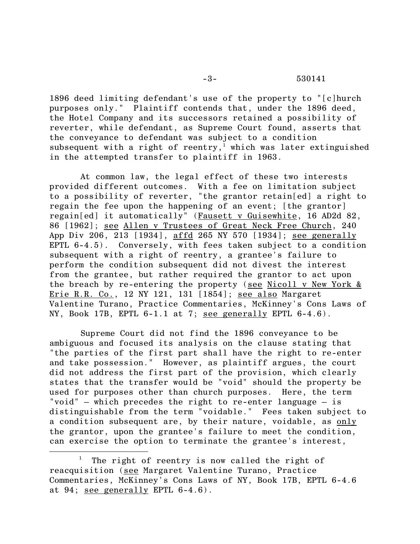1896 deed limiting defendant's use of the property to "[c]hurch purposes only." Plaintiff contends that, under the 1896 deed, the Hotel Company and its successors retained a possibility of reverter, while defendant, as Supreme Court found, asserts that the conveyance to defendant was subject to a condition subsequent with a right of reentry, <sup>1</sup> which was later extinguished in the attempted transfer to plaintiff in 1963.

At common law, the legal effect of these two interests provided different outcomes. With a fee on limitation subject to a possibility of reverter, "the grantor retain[ed] a right to regain the fee upon the happening of an event; [the grantor] regain[ed] it automatically" (Fausett v Guisewhite, 16 AD2d 82, 86 [1962]; see Allen v Trustees of Great Neck Free Church, 240 App Div 206, 213 [1934], affd 265 NY 570 [1934]; see generally EPTL 6-4.5). Conversely, with fees taken subject to a condition subsequent with a right of reentry, a grantee's failure to perform the condition subsequent did not divest the interest from the grantee, but rather required the grantor to act upon the breach by re-entering the property (see Nicoll v New York & Erie R.R. Co., 12 NY 121, 131 [1854]; see also Margaret Valentine Turano, Practice Commentaries, McKinney's Cons Laws of NY, Book 17B, EPTL 6-1.1 at 7; see generally EPTL 6-4.6).

Supreme Court did not find the 1896 conveyance to be ambiguous and focused its analysis on the clause stating that "the parties of the first part shall have the right to re-enter and take possession." However, as plaintiff argues, the court did not address the first part of the provision, which clearly states that the transfer would be "void" should the property be used for purposes other than church purposes. Here, the term "void" – which precedes the right to re-enter language – is distinguishable from the term "voidable." Fees taken subject to a condition subsequent are, by their nature, voidable, as only the grantor, upon the grantee's failure to meet the condition, can exercise the option to terminate the grantee's interest,

The right of reentry is now called the right of reacquisition (see Margaret Valentine Turano, Practice Commentaries, McKinney's Cons Laws of NY, Book 17B, EPTL 6-4.6 at 94; see generally EPTL 6-4.6).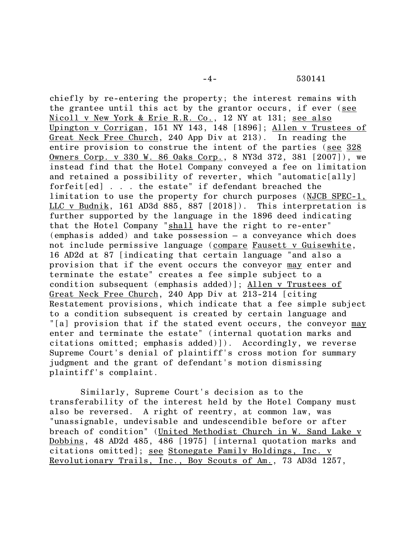chiefly by re-entering the property; the interest remains with the grantee until this act by the grantor occurs, if ever (see Nicoll v New York & Erie R.R. Co., 12 NY at 131; see also Upington v Corrigan, 151 NY 143, 148 [1896]; Allen v Trustees of Great Neck Free Church, 240 App Div at 213). In reading the entire provision to construe the intent of the parties (see 328 Owners Corp. v 330 W. 86 Oaks Corp., 8 NY3d 372, 381 [2007]), we instead find that the Hotel Company conveyed a fee on limitation and retained a possibility of reverter, which "automatic[ally] forfeit[ed] . . . the estate" if defendant breached the limitation to use the property for church purposes (NJCB SPEC-1, LLC v Budnik, 161 AD3d 885, 887 [2018]). This interpretation is further supported by the language in the 1896 deed indicating that the Hotel Company "shall have the right to re-enter" (emphasis added) and take possession – a conveyance which does not include permissive language (compare Fausett v Guisewhite, 16 AD2d at 87 [indicating that certain language "and also a provision that if the event occurs the conveyor may enter and terminate the estate" creates a fee simple subject to a condition subsequent (emphasis added)]; Allen v Trustees of Great Neck Free Church, 240 App Div at 213-214 [citing Restatement provisions, which indicate that a fee simple subject to a condition subsequent is created by certain language and "[a] provision that if the stated event occurs, the conveyor may enter and terminate the estate" (internal quotation marks and citations omitted; emphasis added)]). Accordingly, we reverse Supreme Court's denial of plaintiff's cross motion for summary judgment and the grant of defendant's motion dismissing plaintiff's complaint.

Similarly, Supreme Court's decision as to the transferability of the interest held by the Hotel Company must also be reversed. A right of reentry, at common law, was "unassignable, undevisable and undescendible before or after breach of condition" (United Methodist Church in W. Sand Lake v Dobbins, 48 AD2d 485, 486 [1975] [internal quotation marks and citations omitted]; see Stonegate Family Holdings, Inc. v Revolutionary Trails, Inc., Boy Scouts of Am., 73 AD3d 1257,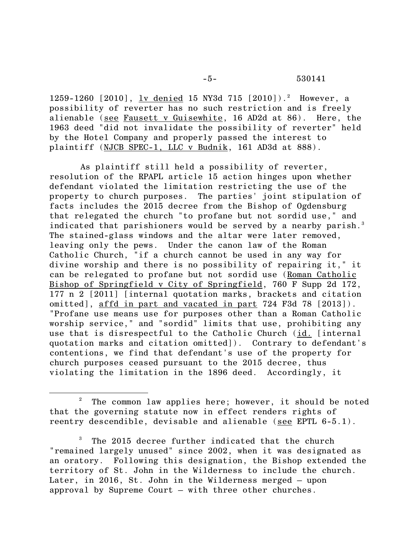1259-1260 [2010], <u>lv denied</u> 15 NY3d 715 [2010]).<sup>2</sup> However, a possibility of reverter has no such restriction and is freely alienable (see Fausett v Guisewhite, 16 AD2d at 86). Here, the 1963 deed "did not invalidate the possibility of reverter" held by the Hotel Company and properly passed the interest to plaintiff (NJCB SPEC-1, LLC v Budnik, 161 AD3d at 888).

As plaintiff still held a possibility of reverter, resolution of the RPAPL article 15 action hinges upon whether defendant violated the limitation restricting the use of the property to church purposes. The parties' joint stipulation of facts includes the 2015 decree from the Bishop of Ogdensburg that relegated the church "to profane but not sordid use," and indicated that parishioners would be served by a nearby parish.<sup>3</sup> The stained-glass windows and the altar were later removed, leaving only the pews. Under the canon law of the Roman Catholic Church, "if a church cannot be used in any way for divine worship and there is no possibility of repairing it," it can be relegated to profane but not sordid use (Roman Catholic Bishop of Springfield v City of Springfield, 760 F Supp 2d 172, 177 n 2 [2011] [internal quotation marks, brackets and citation omitted], affd in part and vacated in part 724 F3d 78 [2013]). "Profane use means use for purposes other than a Roman Catholic worship service," and "sordid" limits that use, prohibiting any use that is disrespectful to the Catholic Church (id. [internal quotation marks and citation omitted]). Contrary to defendant's contentions, we find that defendant's use of the property for church purposes ceased pursuant to the 2015 decree, thus violating the limitation in the 1896 deed. Accordingly, it

The common law applies here; however, it should be noted that the governing statute now in effect renders rights of reentry descendible, devisable and alienable (see EPTL 6-5.1).

 $3$  The 2015 decree further indicated that the church "remained largely unused" since 2002, when it was designated as an oratory. Following this designation, the Bishop extended the territory of St. John in the Wilderness to include the church. Later, in 2016, St. John in the Wilderness merged – upon approval by Supreme Court – with three other churches.